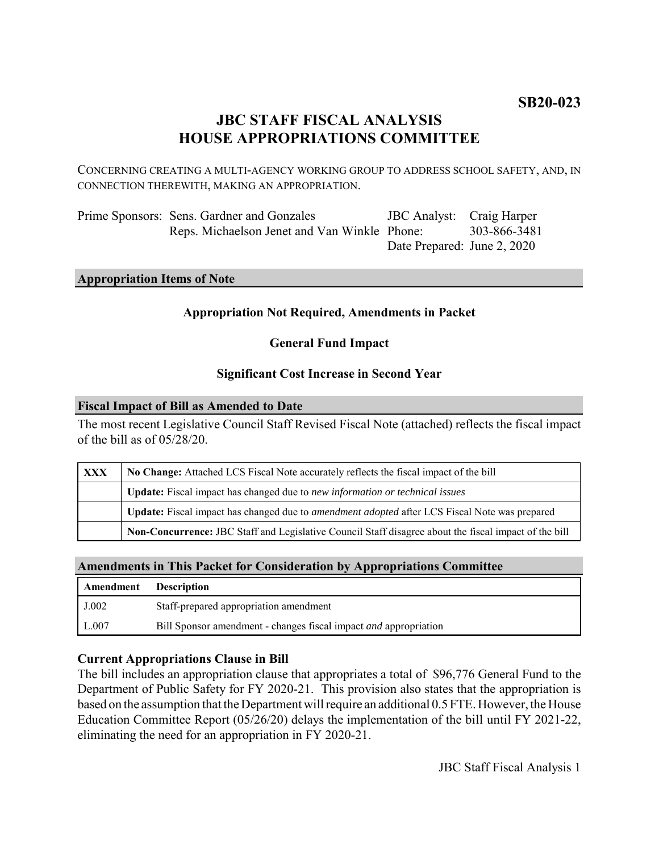# **JBC STAFF FISCAL ANALYSIS HOUSE APPROPRIATIONS COMMITTEE**

CONCERNING CREATING A MULTI-AGENCY WORKING GROUP TO ADDRESS SCHOOL SAFETY, AND, IN CONNECTION THEREWITH, MAKING AN APPROPRIATION.

| Prime Sponsors: Sens. Gardner and Gonzales   | <b>JBC</b> Analyst: Craig Harper |              |
|----------------------------------------------|----------------------------------|--------------|
| Reps. Michaelson Jenet and Van Winkle Phone: |                                  | 303-866-3481 |
|                                              | Date Prepared: June 2, 2020      |              |

# **Appropriation Items of Note**

### **Appropriation Not Required, Amendments in Packet**

### **General Fund Impact**

# **Significant Cost Increase in Second Year**

#### **Fiscal Impact of Bill as Amended to Date**

The most recent Legislative Council Staff Revised Fiscal Note (attached) reflects the fiscal impact of the bill as of 05/28/20.

| XXX | No Change: Attached LCS Fiscal Note accurately reflects the fiscal impact of the bill                 |  |
|-----|-------------------------------------------------------------------------------------------------------|--|
|     | <b>Update:</b> Fiscal impact has changed due to new information or technical issues                   |  |
|     | Update: Fiscal impact has changed due to <i>amendment adopted</i> after LCS Fiscal Note was prepared  |  |
|     | Non-Concurrence: JBC Staff and Legislative Council Staff disagree about the fiscal impact of the bill |  |

# **Amendments in This Packet for Consideration by Appropriations Committee**

| Amendment | <b>Description</b>                                                      |
|-----------|-------------------------------------------------------------------------|
| J.002     | Staff-prepared appropriation amendment                                  |
| L.007     | Bill Sponsor amendment - changes fiscal impact <i>and</i> appropriation |

### **Current Appropriations Clause in Bill**

The bill includes an appropriation clause that appropriates a total of \$96,776 General Fund to the Department of Public Safety for FY 2020-21. This provision also states that the appropriation is based on the assumption that the Department will require an additional 0.5 FTE. However, the House Education Committee Report (05/26/20) delays the implementation of the bill until FY 2021-22, eliminating the need for an appropriation in FY 2020-21.